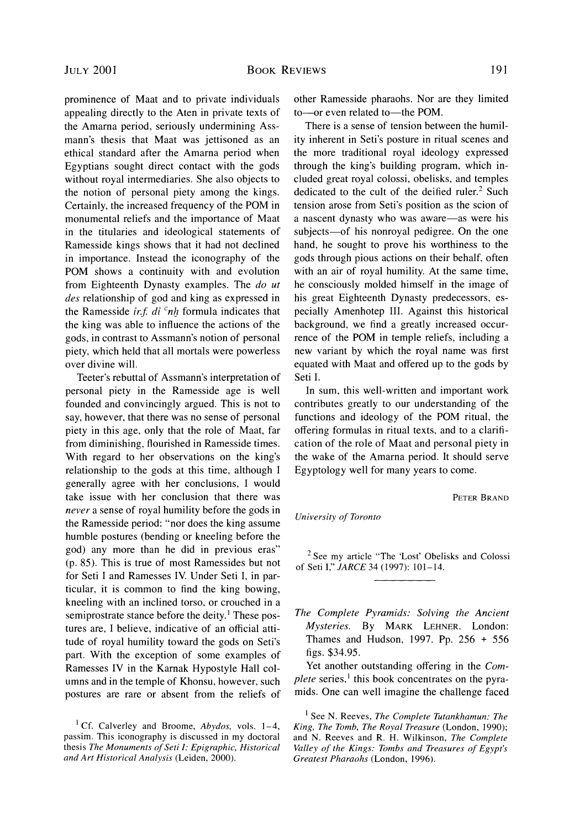prominence of Maat and to private individuals appealing directly to the Aten in private texts of the Amarna period. seriously undermining Assmann's thesis that Maat was jettisoned as an ethical standard after the Amarna period when Egyptians sought direct contact with the gods without royal intermediaries. She also objects to the notion of personal piety among the kings. Certainly, the increased frequency of the POM in monumental reliefs and the importance of Maat in the titularies and ideological statements of Ramesside kings shows that it had not declined in importance. Instead the iconography of the POM shows a continuity with and evolution from Eighteenth Dynasty examples. The *do ut des* relationship of god and king as expressed in the Ramesside *ir.f. di <sup>c</sup>nh* formula indicates that the king was able to influence the actions of the gods, in contrast to Assmann's notion of personal

over divine will. Teeter's rebuttal of Assmann's interpretation of personal piety in the Ramesside age is well founded and convincingly argued. This is not to say, however, that there was no sense of personal piety in this age, only that the role of Maat, far from diminishing. flourished in Ramesside times. With regard to her observations on the king's relationship to the gods at this time, although I generally agree with her conclusions. I would take issue with her conclusion that there was *never* a sense of royal humility before the gods in the Ramesside period: "nor does the king assume humble postures (bending or kneeling before the god) any more than he did in previous eras" (p. 85). This is true of most Ramessides but not for Seti I and Ramesses IV. Under Seti I, in particular, it is common to find the king bowing, kneeling with an inclined torso. or crouched in a semiprostrate stance before the deity.<sup>1</sup> These postures are. I believe. indicative of an official attitude of royal humility toward the gods on Seti's part. With the exception of some examples of Ramesses IV in the Karnak Hypostyle Hall columns and in the temple of Khonsu, however. such postures are rare or absent from the reliefs of

piety, which held that all mortals were powerless

other Ramesside pharaohs. Nor are they limited to-or even related to-the POM.

There is a sense of tension between the humility inherent in Seti's posture in ritual scenes and the more traditional royal ideology expressed through the king's building program, which included great royal colossi, obelisks, and temples dedicated to the cult of the deified ruler.<sup>2</sup> Such tension arose from Seti's position as the scion of a nascent dynasty who was aware—as were his subjects—of his nonroyal pedigree. On the one hand, he sought to prove his worthiness to the gods through pious actions on their behalf, often with an air of royal humility. At the same time, he consciously molded himself in the image of his great Eighteenth Dynasty predecessors, especially Amenhotep 111. Against this historical background. we find a greatly increased occurrence of the POM in temple reliefs. including a new variant by which the royal name was first equated with Maat and offered up to the gods by Seti I.

In sum. this well-written and important work contributes greatly to our understanding of the functions and ideology of the POM ritual. the offering formulas in ritual texts, and to a clarification of the role of Maat and personal piety in the wake of the Amarna period. It should serve Egyptology well for many years to come.

PETER BRAND

*University of Toronto* 

 $2$  See my article "The 'Lost' Obelisks and Colossi of Seti I," *JARCE* 34 (1997): 101-14.

The Complete Pyramids: Solving the Ancient *Mysteries.* By MARK LEHNER. London: Thames and Hudson. 1997. Pp. 256 + 556 figs. \$34.95.

Yet another outstanding offering in the *Complete* series,<sup>1</sup> this book concentrates on the pyramids. One can well imagine the challenge faced

<sup>&</sup>lt;sup>1</sup> Cf. Calverley and Broome, Abydos, vols. 1–4, passim. This iconography is discussed in my doctoral thesis The Monuments of Seti I: Epigraphic, Historical *and Art Historical Analysis* (Leiden. 2000).

<sup>&</sup>lt;sup>1</sup> See N. Reeves, *The Complete Tutankhamun: The Kirzg, The Tomb, The Roxal Treasure* (London. 1990): and N. Reeves and R. H. Wilkinson. *The Complete*  Valley of the Kings: Tombs and Treasures of Egypt's *Greatest Pharaohs* (London. 1996).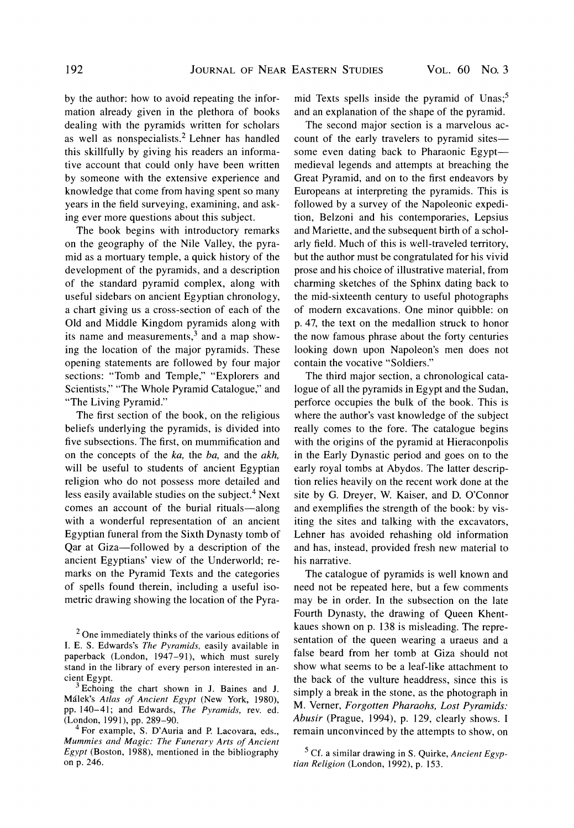*by the author: how to avoid repeating the information already given in the plethora of books dealing with the pyramids written for scholars*  as well as nonspecialists.<sup>2</sup> Lehner has handled *this skillfully by giving his readers an informative account that could only have been written by someone with the extensive experience and knowledge that come from having spent so many years in the field surveying, examining, and asking ever more questions about this subject.* 

*The book begins with introductory remarks on the geography of the Nile Valley, the pyramid as a mortuary temple, a quick history of the development of the pyramids, and a description of the standard pyramid complex, along with useful sidebars on ancient Egyptian chronology, a chart giving us a cross-section of each of the Old and Middle Kingdom pyramids along with*  its name and measurements,<sup>3</sup> and a map show*ing the location of the major pyramids. These opening statements are followed by four major sections: "Tomb and Temple," "Explorers and Scientists," "The Whole Pyramid Catalogue," and "The Living Pyramid."* 

*The first section of the book, on the religious beliefs underlying the pyramids, is divided into five subsections. The first, on mummification and on the concepts of the ka, the ba, and the akh, will be useful to students of ancient Egyptian religion who do not possess more detailed and less easily available studies on the subject.' Next comes an account of the burial rituals-along with a wonderful representation of an ancient Egyptian funeral from the Sixth Dynasty tomb of Qar at Giza-followed by a description of the ancient Egyptians' view of the Underworld; remarks on the Pyramid Texts and the categories of spells found therein, including a useful isometric drawing showing the location of the Pyra-* mid Texts spells inside the pyramid of Unas;<sup>5</sup> *and an explanation of the shape of the pyramid.* 

*The second major section is a marvelous account of the early travelers to pyramid sitessome even dating back to Pharaonic Egyptmedieval legends and attempts at breaching the Great Pyramid, and on to the first endeavors by Europeans at interpreting the pyramids. This is followed by a survey of the Napoleonic expedition, Belzoni and his contemporaries, Lepsius and Mariette, and the subsequent birth of a scholarly field. Much of this is well-traveled territory, but the author must be congratulated for his vivid prose and his choice of illustrative material, from charming sketches of the Sphinx dating back to the mid-sixteenth century to useful photographs of modern excavations. One minor quibble: on p. 47, the text on the medallion struck to honor the now famous phrase about the forty centuries looking down upon Napoleon's men does not contain the vocative "Soldiers."* 

*The third major section, a chronological catalogue of all the pyramids in Egypt and the Sudan, perforce occupies the bulk of the book. This is where the author's vast knowledge of the subject really comes to the fore. The catalogue begins with the origins of the pyramid at Hieraconpolis in the Early Dynastic period and goes on to the early royal tombs at Abydos. The latter description relies heavily on the recent work done at the site by G. Dreyer, W. Kaiser, and D. O'Connor and exemplifies the strength of the book: by visiting the sites and talking with the excavators, Lehner has avoided rehashing old information and has, instead, provided fresh new material to his narrative.* 

*The catalogue of pyramids is well known and need not be repeated here, but a few comments may be in order. In the subsection on the late Fourth Dynasty, the drawing of Queen Khentkaues shown on p.* 138 *is misleading. The representation of the queen wearing a uraeus and a false beard from her tomb at Giza should not show what seems to be a leaf-like attachment to the back of the vulture headdress, since this is simplya break in the stone, as the photograph in*  M. *Verner, Forgotten Pharaohs, Lost Pyramids: Abusir (Prague, 1994), p. 129, clearly shows. I remain unconvinced by the attempts to show, on* 

 $<sup>2</sup>$  One immediately thinks of the various editions of</sup> I. E. S. Edwards's *The Pyramids,* easily available in paperback (London, 1947-91), which must surely stand in the library of every person interested in ancient Egypt.

 $3$  Echoing the chart shown in J. Baines and J. MBlek's *Atlas of Ancierrt Egypt* (New York, 1980), pp. 140-41; and Edwards, The Pyramids, rev. ed. (London, 1991), pp. 289-90.

<sup>&</sup>lt;sup>4</sup> For example, S. D'Auria and P. Lacovara, eds., *Mumnlies and Magic: The Funerary Arts of Ancient*  Egypt (Boston, 1988), mentioned in the bibliography on p. 246.

Cf. a similar drawing in S. Quirke, *Ancient Egyptian Religion* (London, 1992), p. 153.